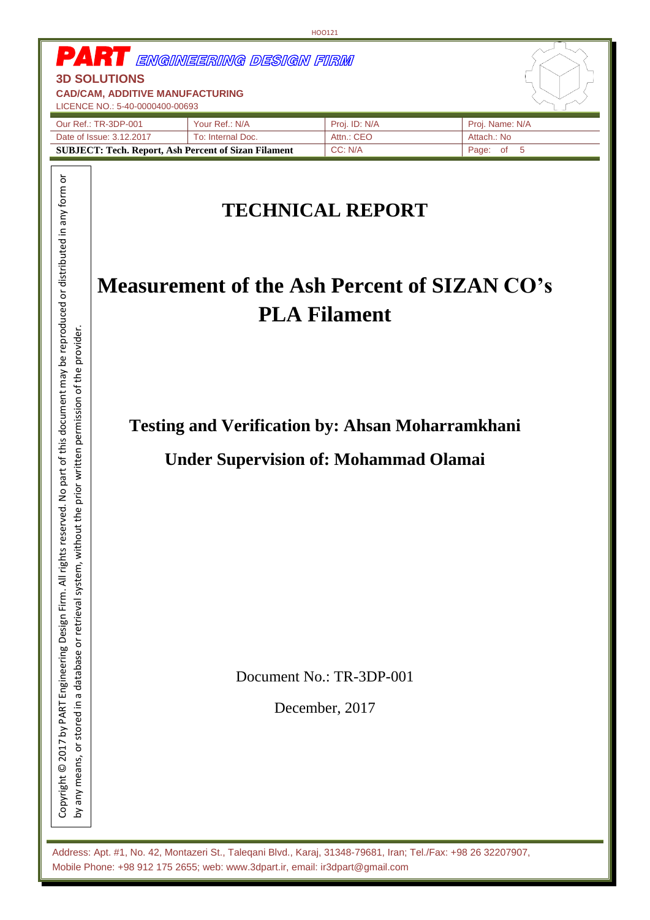|                                                                                                  |                                                                                                         | HOO121                                         |                 |
|--------------------------------------------------------------------------------------------------|---------------------------------------------------------------------------------------------------------|------------------------------------------------|-----------------|
| <b>3D SOLUTIONS</b><br><b>CAD/CAM, ADDITIVE MANUFACTURING</b><br>LICENCE NO.: 5-40-0000400-00693 | <b>PART</b> ENGINEERING DESIGN FIRM                                                                     |                                                |                 |
| Our Ref.: TR-3DP-001                                                                             | Your Ref.: N/A                                                                                          | Proj. ID: N/A                                  | Proj. Name: N/A |
| Date of Issue: 3.12.2017                                                                         | To: Internal Doc.                                                                                       | Attn.: CEO                                     | Attach.: No     |
|                                                                                                  | <b>SUBJECT: Tech. Report, Ash Percent of Sizan Filament</b>                                             | CC: N/A                                        | Page: of<br>5   |
|                                                                                                  | <b>Measurement of the Ash Percent of SIZAN CO's</b>                                                     | <b>TECHNICAL REPORT</b><br><b>PLA Filament</b> |                 |
|                                                                                                  | <b>Testing and Verification by: Ahsan Moharramkhani</b><br><b>Under Supervision of: Mohammad Olamai</b> |                                                |                 |
|                                                                                                  |                                                                                                         | Document No.: TR-3DP-001<br>December, 2017     |                 |

Address: Apt. #1, No. 42, Montazeri St., Taleqani Blvd., Karaj, 31348-79681, Iran; Tel./Fax: +98 26 32207907, Mobile Phone: +98 912 175 2655; web: www.3dpart.ir, email: ir3dpart@gmail.com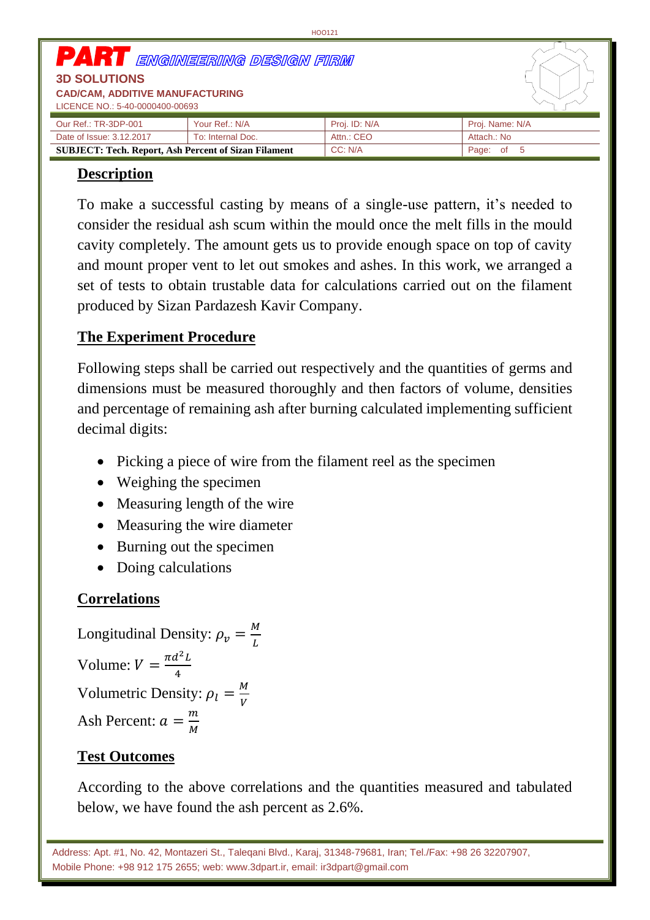| <b>PART</b> ENGINEERING DESIGN FIRM<br><b>3D SOLUTIONS</b><br><b>CAD/CAM, ADDITIVE MANUFACTURING</b><br>LICENCE NO.: 5-40-0000400-00693 |                   |               |                 |
|-----------------------------------------------------------------------------------------------------------------------------------------|-------------------|---------------|-----------------|
| Our Ref.: TR-3DP-001                                                                                                                    | Your Ref.: N/A    | Proj. ID: N/A | Proj. Name: N/A |
| Date of Issue: 3.12.2017                                                                                                                | To: Internal Doc. | Attn.: CEO    | Attach.: No     |
| <b>SUBJECT: Tech. Report, Ash Percent of Sizan Filament</b>                                                                             |                   | CC: N/A       | Page: of 5      |

HOO121

## **Description**

To make a successful casting by means of a single-use pattern, it's needed to consider the residual ash scum within the mould once the melt fills in the mould cavity completely. The amount gets us to provide enough space on top of cavity and mount proper vent to let out smokes and ashes. In this work, we arranged a set of tests to obtain trustable data for calculations carried out on the filament produced by Sizan Pardazesh Kavir Company.

## **The Experiment Procedure**

Following steps shall be carried out respectively and the quantities of germs and dimensions must be measured thoroughly and then factors of volume, densities and percentage of remaining ash after burning calculated implementing sufficient decimal digits:

- Picking a piece of wire from the filament reel as the specimen
- Weighing the specimen
- Measuring length of the wire
- Measuring the wire diameter
- Burning out the specimen
- Doing calculations

## **Correlations**

Longitudinal Density: 
$$
\rho_v = \frac{M}{L}
$$
  
Volume:  $V = \frac{\pi d^2 L}{4}$   
Volumetric Density:  $\rho_l = \frac{M}{V}$   
Ash Percent:  $a = \frac{m}{M}$ 

# **Test Outcomes**

According to the above correlations and the quantities measured and tabulated below, we have found the ash percent as 2.6%.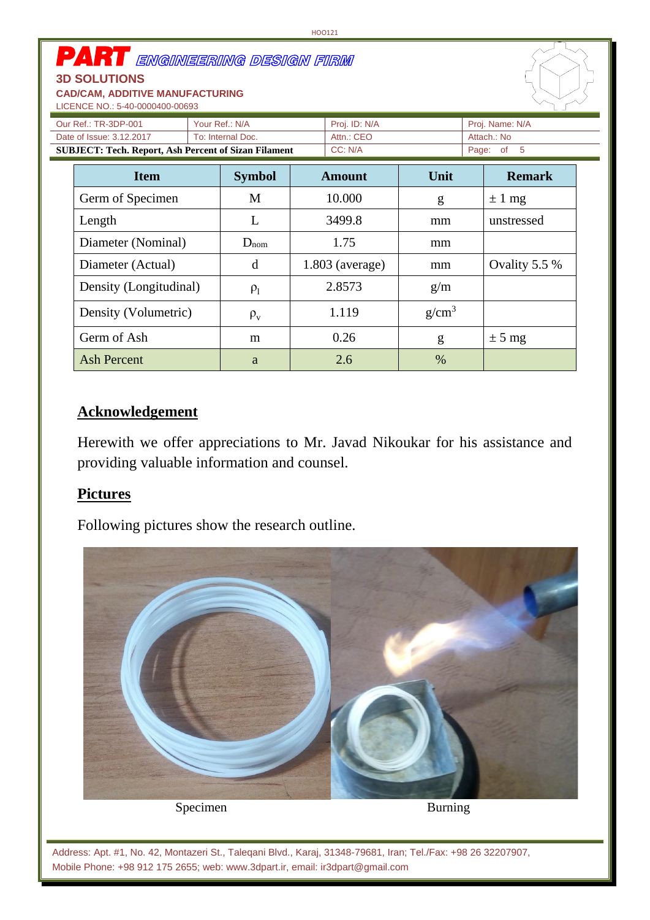| <b>PART</b> ENGINEERING DESIGN FIRM<br><b>3D SOLUTIONS</b><br><b>CAD/CAM, ADDITIVE MANUFACTURING</b><br>LICENCE NO.: 5-40-0000400-00693 |  |                                 |        |                   |                   |            |                |  |
|-----------------------------------------------------------------------------------------------------------------------------------------|--|---------------------------------|--------|-------------------|-------------------|------------|----------------|--|
| Your Ref.: N/A<br>Our Ref.: TR-3DP-001                                                                                                  |  | Proj. ID: N/A                   |        | Proj. Name: N/A   |                   |            |                |  |
| Date of Issue: 3.12.2017                                                                                                                |  | Attn.: CEO<br>To: Internal Doc. |        | Attach.: No       |                   |            |                |  |
| <b>SUBJECT: Tech. Report, Ash Percent of Sizan Filament</b>                                                                             |  |                                 |        | CC: N/A           |                   |            | Page: of<br>-5 |  |
| <b>Item</b>                                                                                                                             |  | <b>Symbol</b>                   |        | <b>Amount</b>     | Unit              |            | <b>Remark</b>  |  |
| Germ of Specimen                                                                                                                        |  | M                               |        | 10.000            | g                 |            | $\pm 1$ mg     |  |
| L<br>Length                                                                                                                             |  |                                 | 3499.8 | mm                |                   | unstressed |                |  |
| Diameter (Nominal)                                                                                                                      |  | $D_{nom}$                       |        | 1.75              | mm                |            |                |  |
| Diameter (Actual)                                                                                                                       |  | d                               |        | $1.803$ (average) | mm                |            | Ovality 5.5 %  |  |
| Density (Longitudinal)                                                                                                                  |  | $\rho_1$                        |        | 2.8573            | g/m               |            |                |  |
| Density (Volumetric)                                                                                                                    |  | $\rho_{\rm v}$                  |        | 1.119             | g/cm <sup>3</sup> |            |                |  |
| Germ of Ash                                                                                                                             |  | m                               |        | 0.26              | g                 |            | $\pm$ 5 mg     |  |
| <b>Ash Percent</b>                                                                                                                      |  | a                               |        | 2.6               | $\%$              |            |                |  |

## **Acknowledgement**

Herewith we offer appreciations to Mr. Javad Nikoukar for his assistance and providing valuable information and counsel.

## **Pictures**

Following pictures show the research outline.



Specimen Burning

Address: Apt. #1, No. 42, Montazeri St., Taleqani Blvd., Karaj, 31348-79681, Iran; Tel./Fax: +98 26 32207907, Mobile Phone: +98 912 175 2655; web: www.3dpart.ir, email: ir3dpart@gmail.com

HOO121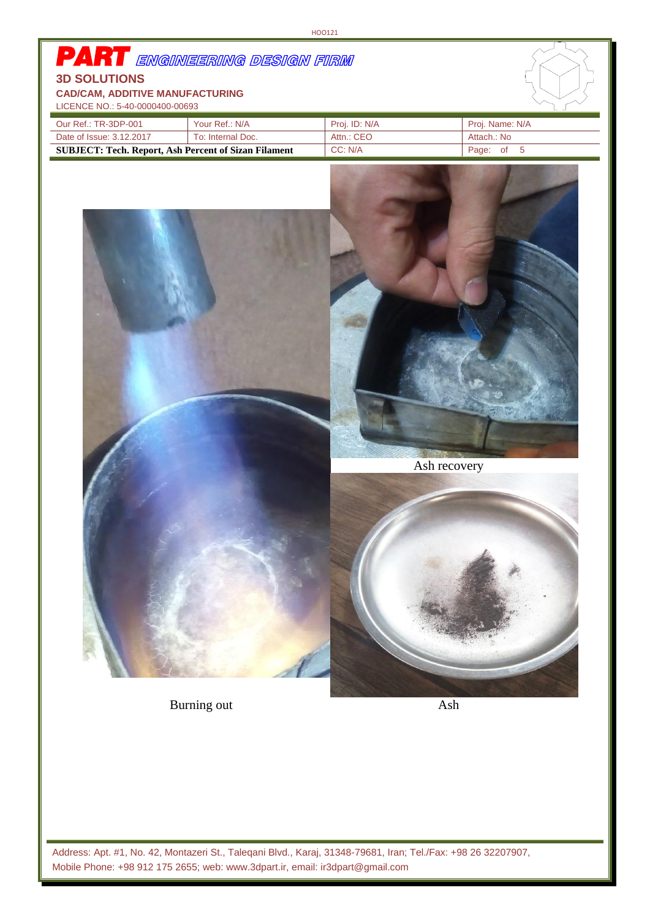Burning out Ash

Address: Apt. #1, No. 42, Montazeri St., Taleqani Blvd., Karaj, 31348-79681, Iran; Tel./Fax: +98 26 32207907, Mobile Phone: +98 912 175 2655; web: www.3dpart.ir, email: ir3dpart@gmail.com